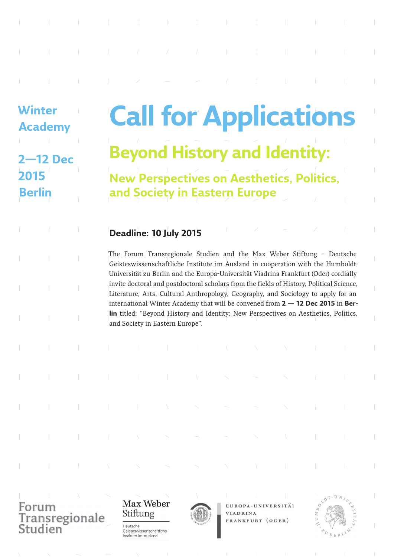**Winter Academy 2—12 Dec 2015 Berlin**

# **Call for Applications Beyond History and Identity:**

**New Perspectives on Aesthetics, Politics, and Society in Eastern Europe**

## **Deadline: 10 July 2015**

The Forum Transregionale Studien and the Max Weber Stiftung – Deutsche Geisteswissenschaftliche Institute im Ausland in cooperation with the Humboldt-Universität zu Berlin and the Europa-Universität Viadrina Frankfurt (Oder) cordially invite doctoral and postdoctoral scholars from the fields of History, Political Science, Literature, Arts, Cultural Anthropology, Geography, and Sociology to apply for an international Winter Academy that will be convened from **2 — 12 Dec 2015** in **Berlin** titled: "Beyond History and Identity: New Perspectives on Aesthetics, Politics, and Society in Eastern Europe".

Transregionale Studien

Max Weber Stiftung

Deutsche

Geisteswissenschaftliche Institute im Ausland



EUROPA-UNIVERSITÄT **VIADRINA** FRANKFURT (ODER)

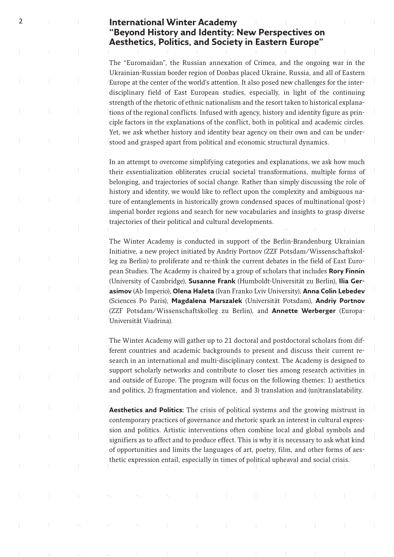### 2 **International Winter Academy "Beyond History and Identity: New Perspectives on Aesthetics, Politics, and Society in Eastern Europe"**

The "Euromaidan", the Russian annexation of Crimea, and the ongoing war in the Ukrainian-Russian border region of Donbas placed Ukraine, Russia, and all of Eastern Europe at the center of the world's attention. It also posed new challenges for the interdisciplinary field of East European studies, especially, in light of the continuing strength of the rhetoric of ethnic nationalism and the resort taken to historical explanations of the regional conflicts. Infused with agency, history and identity figure as principle factors in the explanations of the conflict, both in political and academic circles. Yet, we ask whether history and identity bear agency on their own and can be understood and grasped apart from political and economic structural dynamics.

In an attempt to overcome simplifying categories and explanations, we ask how much their essentialization obliterates crucial societal transformations, multiple forms of belonging, and trajectories of social change. Rather than simply discussing the role of history and identity, we would like to reflect upon the complexity and ambiguous nature of entanglements in historically grown condensed spaces of multinational (post-) imperial border regions and search for new vocabularies and insights to grasp diverse trajectories of their political and cultural developments.

The Winter Academy is conducted in support of the Berlin-Brandenburg Ukrainian Initiative, a new project initiated by Andriy Portnov (ZZF Potsdam/Wissenschaftskolleg zu Berlin) to proliferate and re-think the current debates in the field of East European Studies. The Academy is chaired by a group of scholars that includes **Rory Finnin** (University of Cambridge), **Susanne Frank** (Humboldt-Universität zu Berlin), **Ilia Gerasimov** (Ab Imperio), **Olena Haleta** (Ivan Franko Lviv University), **Anna Colin Lebedev** (Sciences Po Paris), **Magdalena Marszalek** (Universität Potsdam), **Andriy Portnov**  (ZZF Potsdam/Wissenschaftskolleg zu Berlin), and **Annette Werberger** (Europa-Universität Viadrina).

The Winter Academy will gather up to 21 doctoral and postdoctoral scholars from different countries and academic backgrounds to present and discuss their current research in an international and multi-disciplinary context. The Academy is designed to support scholarly networks and contribute to closer ties among research activities in and outside of Europe. The program will focus on the following themes: 1) aesthetics and politics, 2) fragmentation and violence, and 3) translation and (un)translatability.

**Aesthetics and Politics:** The crisis of political systems and the growing mistrust in contemporary practices of governance and rhetoric spark an interest in cultural expression and politics. Artistic interventions often combine local and global symbols and signifiers as to affect and to produce effect. This is why it is necessary to ask what kind of opportunities and limits the languages of art, poetry, film, and other forms of aesthetic expression entail, especially in times of political upheaval and social crisis.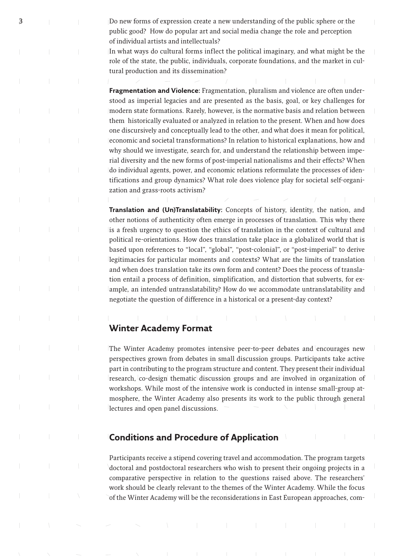3 Do new forms of expression create a new understanding of the public sphere or the public good? How do popular art and social media change the role and perception of individual artists and intellectuals?

> In what ways do cultural forms inflect the political imaginary, and what might be the role of the state, the public, individuals, corporate foundations, and the market in cultural production and its dissemination?

> **Fragmentation and Violence:** Fragmentation, pluralism and violence are often understood as imperial legacies and are presented as the basis, goal, or key challenges for modern state formations. Rarely, however, is the normative basis and relation between them historically evaluated or analyzed in relation to the present. When and how does one discursively and conceptually lead to the other, and what does it mean for political, economic and societal transformations? In relation to historical explanations, how and why should we investigate, search for, and understand the relationship between imperial diversity and the new forms of post-imperial nationalisms and their effects? When do individual agents, power, and economic relations reformulate the processes of identifications and group dynamics? What role does violence play for societal self-organization and grass-roots activism?

> **Translation and (Un)Translatability:** Concepts of history, identity, the nation, and other notions of authenticity often emerge in processes of translation. This why there is a fresh urgency to question the ethics of translation in the context of cultural and political re-orientations. How does translation take place in a globalized world that is based upon references to "local", "global", "post-colonial", or "post-imperial" to derive legitimacies for particular moments and contexts? What are the limits of translation and when does translation take its own form and content? Does the process of translation entail a process of definition, simplification, and distortion that subverts, for example, an intended untranslatability? How do we accommodate untranslatability and negotiate the question of difference in a historical or a present-day context?

#### **Winter Academy Format**

The Winter Academy promotes intensive peer-to-peer debates and encourages new perspectives grown from debates in small discussion groups. Participants take active part in contributing to the program structure and content. They present their individual research, co-design thematic discussion groups and are involved in organization of workshops. While most of the intensive work is conducted in intense small-group atmosphere, the Winter Academy also presents its work to the public through general lectures and open panel discussions.

#### **Conditions and Procedure of Application**

Participants receive a stipend covering travel and accommodation. The program targets doctoral and postdoctoral researchers who wish to present their ongoing projects in a comparative perspective in relation to the questions raised above. The researchers' work should be clearly relevant to the themes of the Winter Academy. While the focus of the Winter Academy will be the reconsiderations in East European approaches, com